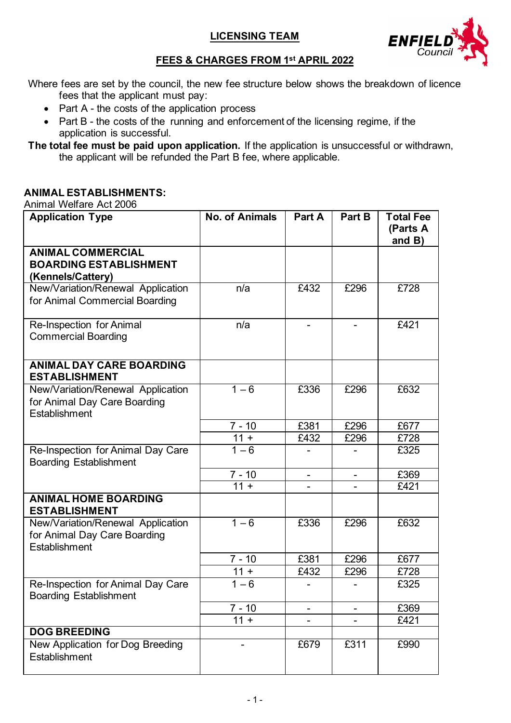# **LICENSING TEAM**



# **FEES & CHARGES FROM 1st APRIL 2022**

Where fees are set by the council, the new fee structure below shows the breakdown of licence fees that the applicant must pay:

- Part A the costs of the application process
- Part B the costs of the running and enforcement of the licensing regime, if the application is successful.
- **The total fee must be paid upon application.** If the application is unsuccessful or withdrawn, the applicant will be refunded the Part B fee, where applicable.

### **ANIMAL ESTABLISHMENTS:**

Animal Welfare Act 2006

| <b>Application Type</b>                                                            | <b>No. of Animals</b> | Part A | Part B                   | <b>Total Fee</b><br>(Parts A |
|------------------------------------------------------------------------------------|-----------------------|--------|--------------------------|------------------------------|
|                                                                                    |                       |        |                          | and $B$ )                    |
| <b>ANIMAL COMMERCIAL</b><br><b>BOARDING ESTABLISHMENT</b>                          |                       |        |                          |                              |
| (Kennels/Cattery)<br>New/Variation/Renewal Application                             | n/a                   | £432   | £296                     | £728                         |
| for Animal Commercial Boarding                                                     |                       |        |                          |                              |
| Re-Inspection for Animal<br><b>Commercial Boarding</b>                             | n/a                   | -      | -                        | £421                         |
| <b>ANIMAL DAY CARE BOARDING</b><br><b>ESTABLISHMENT</b>                            |                       |        |                          |                              |
| New/Variation/Renewal Application<br>for Animal Day Care Boarding<br>Establishment | $1 - 6$               | £336   | £296                     | £632                         |
|                                                                                    | $7 - 10$              | £381   | £296                     | £677                         |
|                                                                                    | $11 +$                | £432   | £296                     | £728                         |
| Re-Inspection for Animal Day Care<br><b>Boarding Establishment</b>                 | $1 - 6$               |        |                          | £325                         |
|                                                                                    | $7 - 10$              |        |                          | £369                         |
|                                                                                    | $11 +$                |        |                          | £421                         |
| <b>ANIMAL HOME BOARDING</b><br><b>ESTABLISHMENT</b>                                |                       |        |                          |                              |
| New/Variation/Renewal Application<br>for Animal Day Care Boarding<br>Establishment | $1 - 6$               | £336   | £296                     | £632                         |
|                                                                                    | $7 - 10$              | £381   | £296                     | £677                         |
|                                                                                    | $11 +$                | £432   | £296                     | £728                         |
| Re-Inspection for Animal Day Care<br><b>Boarding Establishment</b>                 | $1 - 6$               |        |                          | £325                         |
|                                                                                    | $7 - 10$              | Ξ.     | $\overline{\phantom{0}}$ | £369                         |
|                                                                                    | $11 +$                |        |                          | £421                         |
| <b>DOG BREEDING</b>                                                                |                       |        |                          |                              |
| New Application for Dog Breeding<br>Establishment                                  |                       | £679   | £311                     | £990                         |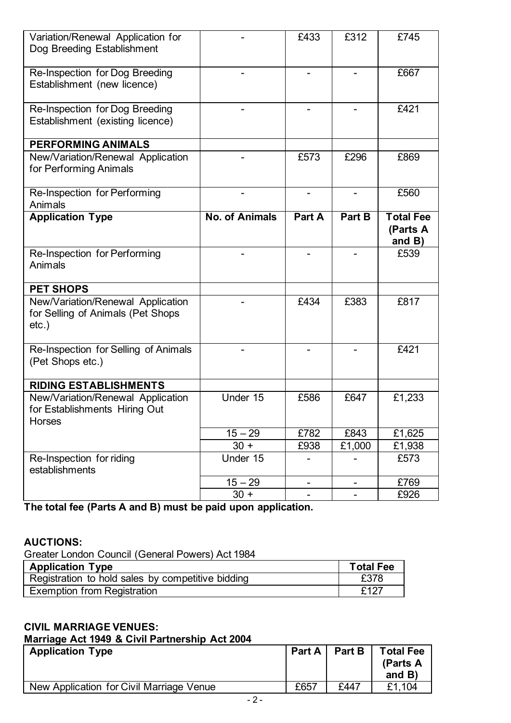| Variation/Renewal Application for<br>Dog Breeding Establishment                    |                          | £433                         | £312   | £745                                      |
|------------------------------------------------------------------------------------|--------------------------|------------------------------|--------|-------------------------------------------|
| Re-Inspection for Dog Breeding<br>Establishment (new licence)                      | $\overline{\phantom{0}}$ | $\overline{\phantom{0}}$     |        | £667                                      |
| Re-Inspection for Dog Breeding<br>Establishment (existing licence)                 |                          |                              |        | £421                                      |
| <b>PERFORMING ANIMALS</b>                                                          |                          |                              |        |                                           |
| New/Variation/Renewal Application<br>for Performing Animals                        |                          | £573                         | £296   | £869                                      |
| Re-Inspection for Performing<br>Animals                                            |                          |                              |        | £560                                      |
| <b>Application Type</b>                                                            | <b>No. of Animals</b>    | Part A                       | Part B | <b>Total Fee</b><br>(Parts A<br>and $B$ ) |
| Re-Inspection for Performing<br>Animals                                            |                          |                              |        | £539                                      |
| <b>PET SHOPS</b>                                                                   |                          |                              |        |                                           |
| New/Variation/Renewal Application<br>for Selling of Animals (Pet Shops<br>$etc.$ ) |                          | £434                         | £383   | £817                                      |
| Re-Inspection for Selling of Animals<br>(Pet Shops etc.)                           |                          |                              |        | £421                                      |
| <b>RIDING ESTABLISHMENTS</b>                                                       |                          |                              |        |                                           |
| New/Variation/Renewal Application<br>for Establishments Hiring Out<br>Horses       | Under 15                 | £586                         | £647   | £1,233                                    |
|                                                                                    | $15 - 29$                | £782                         | £843   | £1,625                                    |
|                                                                                    | $30 +$                   | £938                         | £1,000 | £1,938                                    |
| Re-Inspection for riding<br>establishments                                         | Under 15                 |                              |        | £573                                      |
|                                                                                    | $15 - 29$                | $\qquad \qquad \blacksquare$ |        | £769                                      |
|                                                                                    | $30 +$                   |                              |        | £926                                      |

**The total fee (Parts A and B) must be paid upon application.**

# **AUCTIONS:**

Greater London Council (General Powers) Act 1984

| <b>Application Type</b>                           | <b>Total Fee</b> |
|---------------------------------------------------|------------------|
| Registration to hold sales by competitive bidding | £378             |
| <b>Exemption from Registration</b>                | £127             |

# **CIVIL MARRIAGE VENUES:**

#### **Marriage Act 1949 & Civil Partnership Act 2004**

| <b>Application Type</b>                  |      | Part A   Part B | <b>Total Fee</b><br>(Parts A<br>and $B$ ) |
|------------------------------------------|------|-----------------|-------------------------------------------|
| New Application for Civil Marriage Venue | £657 | £447            | £1.104                                    |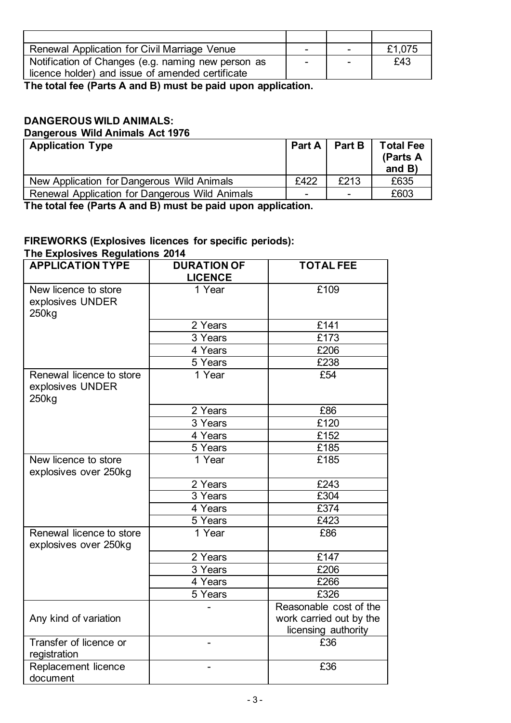| Renewal Application for Civil Marriage Venue       | $\overline{\phantom{0}}$ | $\overline{\phantom{0}}$ | £1,075 |
|----------------------------------------------------|--------------------------|--------------------------|--------|
| Notification of Changes (e.g. naming new person as | $\overline{\phantom{0}}$ | $\overline{\phantom{0}}$ | £43    |
| licence holder) and issue of amended certificate   |                          |                          |        |

**The total fee (Parts A and B) must be paid upon application.**

# **DANGEROUS WILD ANIMALS:**

**Dangerous Wild Animals Act 1976** Application Type **Part A Part A Part B** Total Fee **(Parts A and B)** New Application for Dangerous Wild Animals<br>
Renewal Application for Dangerous Wild Animals<br>
Fenewal Application for Dangerous Wild Animals<br>
Fenewal Application for Dangerous Wild Animals Renewal Application for Dangerous Wild Animals - - £603

**The total fee (Parts A and B) must be paid upon application.**

#### **FIREWORKS (Explosives licences for specific periods): The Explosives Regulations 2014**

| <b>APPLICATION TYPE</b>                                           | <b>DURATION OF</b><br><b>LICENCE</b> | <b>TOTAL FEE</b>                                                         |
|-------------------------------------------------------------------|--------------------------------------|--------------------------------------------------------------------------|
| New licence to store<br>explosives UNDER<br>250 <sub>kg</sub>     | 1 Year                               | £109                                                                     |
|                                                                   | 2 Years                              | $\overline{E}$ 141                                                       |
|                                                                   | 3 Years                              | £173                                                                     |
|                                                                   | 4 Years                              | £206                                                                     |
|                                                                   | 5 Years                              | £238                                                                     |
| Renewal licence to store<br>explosives UNDER<br>250 <sub>kg</sub> | 1 Year                               | £54                                                                      |
|                                                                   | 2 Years                              | £86                                                                      |
|                                                                   | 3 Years                              | £120                                                                     |
|                                                                   | 4 Years                              | £152                                                                     |
|                                                                   | 5 Years                              | £185                                                                     |
| New licence to store<br>explosives over 250kg                     | 1 Year                               | £185                                                                     |
|                                                                   | 2 Years                              | £243                                                                     |
|                                                                   | 3 Years                              | £304                                                                     |
|                                                                   | 4 Years                              | £374                                                                     |
|                                                                   | 5 Years                              | £423                                                                     |
| Renewal licence to store<br>explosives over 250kg                 | 1 Year                               | £86                                                                      |
|                                                                   | 2 Years                              | £147                                                                     |
|                                                                   | 3 Years                              | £206                                                                     |
|                                                                   | 4 Years                              | £266                                                                     |
|                                                                   | 5 Years                              | £326                                                                     |
| Any kind of variation                                             |                                      | Reasonable cost of the<br>work carried out by the<br>licensing authority |
| Transfer of licence or<br>registration                            |                                      | £36                                                                      |
| Replacement licence<br>document                                   |                                      | £36                                                                      |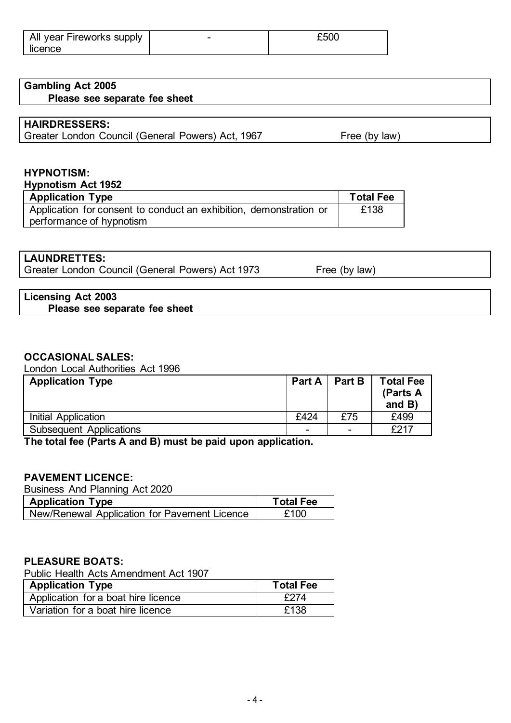| All year Fireworks supply | - | £50C |
|---------------------------|---|------|
| licence                   |   |      |

# **Gambling Act 2005**

**Please see separate fee sheet**

#### **HAIRDRESSERS:**

Greater London Council (General Powers) Act, 1967 Free (by law)

#### **HYPNOTISM:**

**Hypnotism Act 1952**

| <b>Application Type</b>                                            | <b>Total Fee</b> |
|--------------------------------------------------------------------|------------------|
| Application for consent to conduct an exhibition, demonstration or | £138             |
| performance of hypnotism                                           |                  |

#### **LAUNDRETTES:**

Greater London Council (General Powers) Act 1973 Free (by law)

#### **Licensing Act 2003 Please see separate fee sheet**

# **OCCASIONAL SALES:**

London Local Authorities Act 1996

| <b>Application Type</b>        |                          | Part A   Part B          | <b>Total Fee</b><br>(Parts A<br>and $B$ ) |
|--------------------------------|--------------------------|--------------------------|-------------------------------------------|
| Initial Application            | £424                     | £75                      | £499                                      |
| <b>Subsequent Applications</b> | $\overline{\phantom{0}}$ | $\overline{\phantom{0}}$ | £217                                      |

**The total fee (Parts A and B) must be paid upon application.**

# **PAVEMENT LICENCE:**

Business And Planning Act 2020

| <b>Application Type</b>                      | <b>Total Fee</b> |
|----------------------------------------------|------------------|
| New/Renewal Application for Pavement Licence | £100             |

# **PLEASURE BOATS:**

Public Health Acts Amendment Act 1907

| <b>Application Type</b>             | <b>Total Fee</b> |
|-------------------------------------|------------------|
| Application for a boat hire licence | £274             |
| Variation for a boat hire licence   | £138             |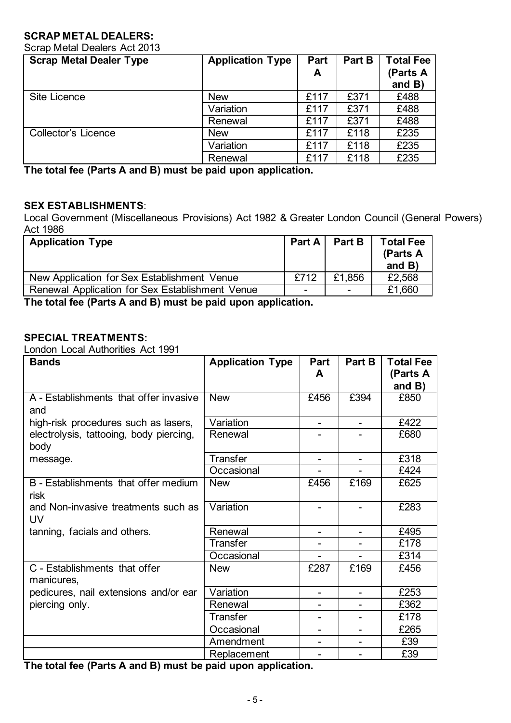# **SCRAP METAL DEALERS:**

Scrap Metal Dealers Act 2013

| <b>Scrap Metal Dealer Type</b> | <b>Application Type</b> | Part | Part B | <b>Total Fee</b>      |
|--------------------------------|-------------------------|------|--------|-----------------------|
|                                |                         | A    |        | (Parts A<br>and $B$ ) |
| Site Licence                   | <b>New</b>              | £117 | £371   | £488                  |
|                                | Variation               | £117 | £371   | £488                  |
|                                | Renewal                 | £117 | £371   | £488                  |
| <b>Collector's Licence</b>     | <b>New</b>              | £117 | £118   | £235                  |
|                                | Variation               | £117 | £118   | £235                  |
|                                | Renewal                 | £117 | £118   | £235                  |

**The total fee (Parts A and B) must be paid upon application.**

#### **SEX ESTABLISHMENTS**:

Local Government (Miscellaneous Provisions) Act 1982 & Greater London Council (General Powers) Act 1986

| <b>Application Type</b>                         | Part A | <b>Part B</b>            | <b>Total Fee</b><br>(Parts A<br>and $B$ ) |
|-------------------------------------------------|--------|--------------------------|-------------------------------------------|
| New Application for Sex Establishment Venue     | £712   | £1,856                   | £2,568                                    |
| Renewal Application for Sex Establishment Venue | ۰      | $\overline{\phantom{0}}$ | £1,660                                    |
|                                                 |        |                          |                                           |

**The total fee (Parts A and B) must be paid upon application.**

#### **SPECIAL TREATMENTS:**

London Local Authorities Act 1991

| <b>Bands</b>                                    | <b>Application Type</b> | Part<br>A                | Part B                   | <b>Total Fee</b><br>(Parts A<br>and $B$ ) |
|-------------------------------------------------|-------------------------|--------------------------|--------------------------|-------------------------------------------|
| A - Establishments that offer invasive<br>and   | <b>New</b>              | £456                     | £394                     | £850                                      |
| high-risk procedures such as lasers,            | Variation               |                          |                          | £422                                      |
| electrolysis, tattooing, body piercing,<br>body | Renewal                 |                          |                          | £680                                      |
| message.                                        | Transfer                |                          |                          | £318                                      |
|                                                 | Occasional              |                          |                          | £424                                      |
| B - Establishments that offer medium<br>risk    | <b>New</b>              | £456                     | £169                     | £625                                      |
| and Non-invasive treatments such as<br>UV       | Variation               |                          |                          | £283                                      |
| tanning, facials and others.                    | Renewal                 |                          | $\blacksquare$           | £495                                      |
|                                                 | <b>Transfer</b>         |                          |                          | £178                                      |
|                                                 | Occasional              |                          |                          | £314                                      |
| C - Establishments that offer<br>manicures,     | <b>New</b>              | £287                     | £169                     | £456                                      |
| pedicures, nail extensions and/or ear           | Variation               | $\overline{\phantom{0}}$ | $\overline{\phantom{0}}$ | £253                                      |
| piercing only.                                  | Renewal                 |                          |                          | £362                                      |
|                                                 | Transter                |                          | ۰                        | £178                                      |
|                                                 | Occasional              |                          |                          | £265                                      |
|                                                 | Amendment               |                          |                          | £39                                       |
|                                                 | Replacement             |                          |                          | £39                                       |

**The total fee (Parts A and B) must be paid upon application.**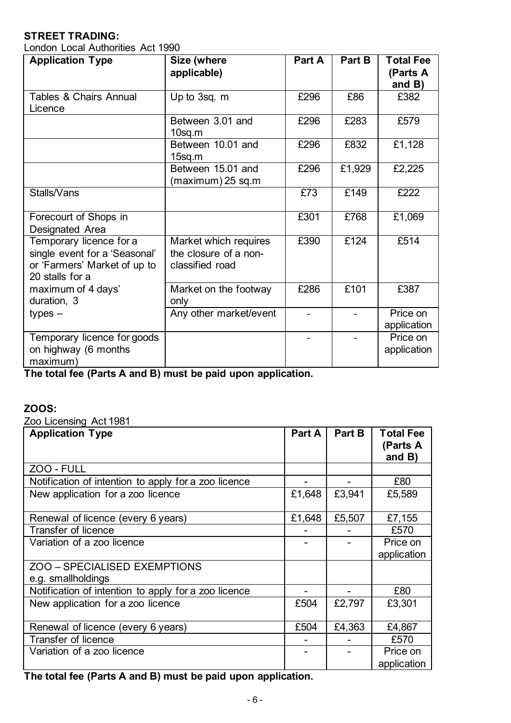# **STREET TRADING:**

London Local Authorities Act 1990

| <b>Application Type</b>                                                                                     | Size (where<br>applicable)                                        | Part A | Part B | <b>Total Fee</b><br>(Parts A |
|-------------------------------------------------------------------------------------------------------------|-------------------------------------------------------------------|--------|--------|------------------------------|
| <b>Tables &amp; Chairs Annual</b><br>Licence                                                                | Up to 3sq. m                                                      | £296   | £86    | and $B$ )<br>£382            |
|                                                                                                             | Between 3.01 and<br>$10$ sq.m                                     | £296   | £283   | £579                         |
|                                                                                                             | Between 10.01 and<br>$15$ sq.m                                    | £296   | £832   | £1,128                       |
|                                                                                                             | Between 15.01 and<br>(maximum) 25 sq.m                            | £296   | £1,929 | £2,225                       |
| Stalls/Vans                                                                                                 |                                                                   | £73    | £149   | £222                         |
| Forecourt of Shops in<br>Designated Area                                                                    |                                                                   | £301   | £768   | £1,069                       |
| Temporary licence for a<br>single event for a 'Seasonal'<br>or 'Farmers' Market of up to<br>20 stalls for a | Market which requires<br>the closure of a non-<br>classified road | £390   | £124   | £514                         |
| maximum of 4 days'<br>duration, 3                                                                           | Market on the footway<br>only                                     | £286   | £101   | £387                         |
| $types -$                                                                                                   | Any other market/event                                            |        |        | Price on<br>application      |
| Temporary licence for goods<br>on highway (6 months<br>maximum)                                             |                                                                   |        |        | Price on<br>application      |

**The total fee (Parts A and B) must be paid upon application.**

### **ZOOS:**

Zoo Licensing Act 1981

| <b>Application Type</b>                              | <b>Part A</b> | Part B | <b>Total Fee</b><br>(Parts A<br>and $B$ ) |
|------------------------------------------------------|---------------|--------|-------------------------------------------|
| ZOO - FULL                                           |               |        |                                           |
| Notification of intention to apply for a zoo licence |               |        | £80                                       |
| New application for a zoo licence                    | £1,648        | £3,941 | £5,589                                    |
| Renewal of licence (every 6 years)                   | £1,648        | £5,507 | £7,155                                    |
| <b>Transfer of licence</b>                           |               |        | £570                                      |
| Variation of a zoo licence                           |               |        | Price on                                  |
|                                                      |               |        | application                               |
| ZOO – SPECIALISED EXEMPTIONS<br>e.g. smallholdings   |               |        |                                           |
| Notification of intention to apply for a zoo licence |               |        | £80                                       |
| New application for a zoo licence                    | £504          | £2,797 | £3,301                                    |
| Renewal of licence (every 6 years)                   | £504          | £4,363 | £4,867                                    |
| <b>Transfer of licence</b>                           |               |        | £570                                      |
| Variation of a zoo licence                           |               |        | Price on                                  |
|                                                      |               |        | application                               |

**The total fee (Parts A and B) must be paid upon application.**